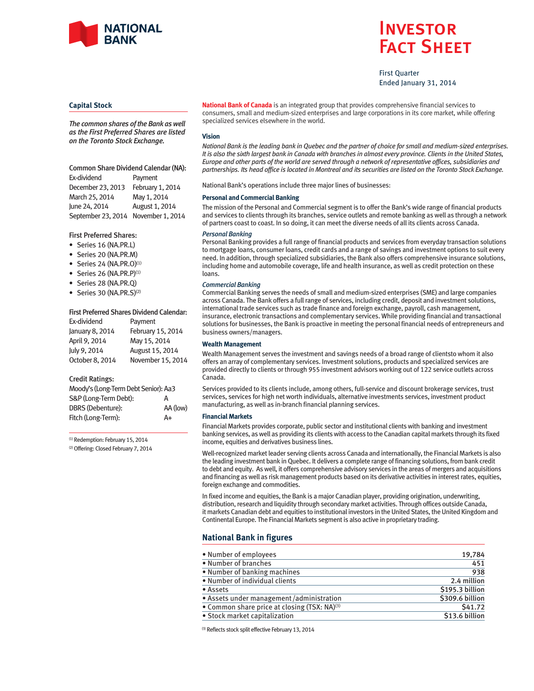

# Investor Fact Sheet

First Quarter Ended January 31, 2014

#### **Capital Stock**

*The common shares of the Bank as well as the First Preferred Shares are listed on the Toronto Stock Exchange.*

Common Share Dividend Calendar (NA): Ex-dividend Payment December 23, 2013 February 1, 2014 March 25, 2014 May 1, 2014 June24, 2014 August1, 2014 September 23, 2014 November 1, 2014

## First Preferred Shares:

- Series 16 (NA.PR.L)
- Series 20 (NA.PR.M)
- Series 24  $(NA.PR.O)^{(1)}$
- Series 26 (NA.PR.P) $(1)$
- Series 28 (NA.PR.Q)
- Series 30  $(NA.PR.S)^{(2)}$

#### First Preferred Shares Dividend Calendar:

| Ex-dividend     | Payment           |
|-----------------|-------------------|
| January 8, 2014 | February 15, 2014 |
| April 9, 2014   | May 15, 2014      |
| July 9, 2014    | August 15, 2014   |
| October 8, 2014 | November 15, 2014 |

#### Credit Ratings:

| Moody's (Long-Term Debt Senior): Aa3 |          |
|--------------------------------------|----------|
| S&P (Long-Term Debt):                | А        |
| <b>DBRS (Debenture):</b>             | AA (low) |
| Fitch (Long-Term):                   | A+       |

(1) Redemption: February 15, 2014

(2) Offering: Closed February 7, 2014

**National Bank of Canada** is an integrated group that provides comprehensive financial services to consumers, small and medium-sized enterprises and large corporations in its core market, while offering specialized services elsewhere in the world.

#### **Vision**

*National Bank is the leading bank in Quebec and the partner of choice for small and medium-sized enterprises. It is also the sixth largest bank in Canada with branches in almost every province. Clients in the United States, Europe and other parts of the world are served through a network of representative offices, subsidiaries and partnerships. Its head office is located in Montreal and its securities are listed on the Toronto Stock Exchange.*

National Bank's operations include three major lines of businesses:

#### **Personal and Commercial Banking**

The mission of the Personal and Commercial segment is to offer the Bank's wide range of financial products and services to clients through its branches, service outlets and remote banking as well as through a network of partners coast to coast. In so doing, it can meet the diverse needs of all its clients across Canada.

#### *Personal Banking*

Personal Banking provides a full range of financial products and services from everyday transaction solutions to mortgage loans, consumer loans, credit cards and a range of savings and investment options to suit every need. In addition, through specialized subsidiaries, the Bank also offers comprehensive insurance solutions, including home and automobile coverage, life and health insurance, as well as credit protection on these loans.

#### *Commercial Banking*

Commercial Banking serves the needs of small and medium-sized enterprises (SME) and large companies across Canada. The Bank offers a full range of services, including credit, deposit and investment solutions, international trade services such as trade finance and foreign exchange, payroll, cash management, insurance, electronic transactions and complementary services. While providing financial and transactional solutions for businesses, the Bank is proactive in meeting the personal financial needs of entrepreneurs and business owners/managers.

#### **Wealth Management**

Wealth Management serves the investment and savings needs of a broad range of clientsto whom it also offers an array of complementary services. Investment solutions, products and specialized services are provided directly to clients or through 955 investment advisors working out of 122 service outlets across Canada.

Services provided to its clients include, among others, full-service and discount brokerage services, trust services, services for high net worth individuals, alternative investments services, investment product manufacturing, as well as in-branch financial planning services.

#### **Financial Markets**

Financial Markets provides corporate, public sector and institutional clients with banking and investment banking services, as well as providing its clients with access to the Canadian capital markets through its fixed income, equities and derivatives business lines.

Well-recognized market leader serving clients across Canada and internationally, the Financial Markets is also the leading investment bank in Quebec. It delivers a complete range of financing solutions, from bank credit to debt and equity. As well, it offers comprehensive advisory services in the areas of mergers and acquisitions and financing as well as risk management products based on its derivative activities in interest rates, equities, foreign exchange and commodities.

In fixed income and equities, the Bank is a major Canadian player, providing origination, underwriting, distribution, research and liquidity through secondary market activities. Through offices outside Canada, it markets Canadian debt and equities to institutional investors in the United States, the United Kingdom and Continental Europe. The Financial Markets segment is also active in proprietary trading.

## **National Bank in figures**

| • Number of employees                                    | 19,784             |
|----------------------------------------------------------|--------------------|
| • Number of branches                                     | 451                |
| • Number of banking machines                             | 938                |
| • Number of individual clients                           | 2.4 million        |
| • Assets                                                 | \$195.3 billion    |
| • Assets under management/administration                 | \$309.6 billion    |
| • Common share price at closing (TSX: NA) <sup>(3)</sup> | S <sub>41.72</sub> |
| • Stock market capitalization                            | \$13.6 billion     |

(3) Reflects stock split effective February 13, 2014